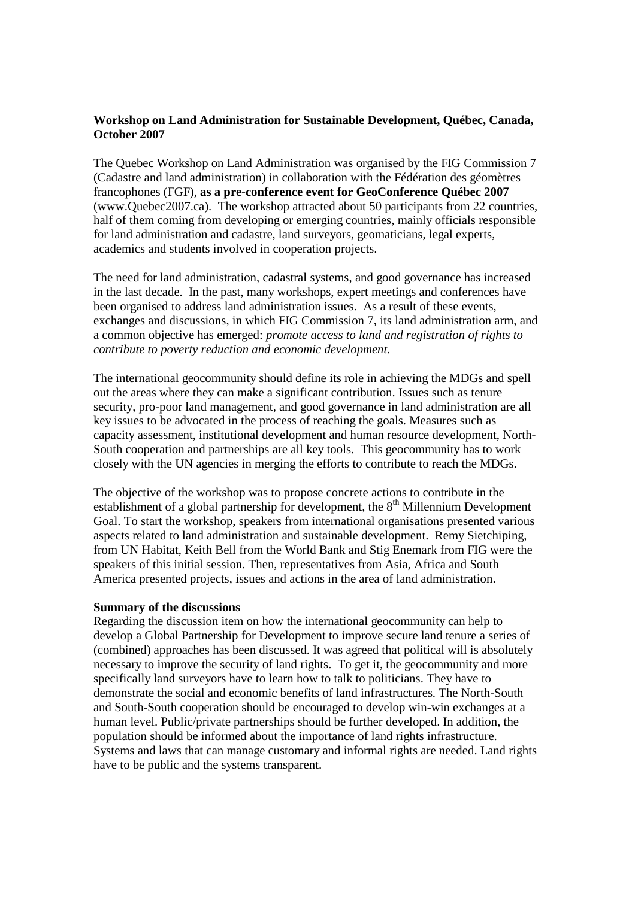## **Workshop on Land Administration for Sustainable Development, Québec, Canada, October 2007**

The Quebec Workshop on Land Administration was organised by the FIG Commission 7 (Cadastre and land administration) in collaboration with the Fédération des géomètres francophones (FGF), **as a pre-conference event for GeoConference Québec 2007** (www.Quebec2007.ca). The workshop attracted about 50 participants from 22 countries, half of them coming from developing or emerging countries, mainly officials responsible for land administration and cadastre, land surveyors, geomaticians, legal experts, academics and students involved in cooperation projects.

The need for land administration, cadastral systems, and good governance has increased in the last decade. In the past, many workshops, expert meetings and conferences have been organised to address land administration issues. As a result of these events, exchanges and discussions, in which FIG Commission 7, its land administration arm, and a common objective has emerged: *promote access to land and registration of rights to contribute to poverty reduction and economic development.*

The international geocommunity should define its role in achieving the MDGs and spell out the areas where they can make a significant contribution. Issues such as tenure security, pro-poor land management, and good governance in land administration are all key issues to be advocated in the process of reaching the goals. Measures such as capacity assessment, institutional development and human resource development, North-South cooperation and partnerships are all key tools. This geocommunity has to work closely with the UN agencies in merging the efforts to contribute to reach the MDGs.

The objective of the workshop was to propose concrete actions to contribute in the establishment of a global partnership for development, the  $8<sup>th</sup>$  Millennium Development Goal. To start the workshop, speakers from international organisations presented various aspects related to land administration and sustainable development. Remy Sietchiping, from UN Habitat, Keith Bell from the World Bank and Stig Enemark from FIG were the speakers of this initial session. Then, representatives from Asia, Africa and South America presented projects, issues and actions in the area of land administration.

## **Summary of the discussions**

Regarding the discussion item on how the international geocommunity can help to develop a Global Partnership for Development to improve secure land tenure a series of (combined) approaches has been discussed. It was agreed that political will is absolutely necessary to improve the security of land rights. To get it, the geocommunity and more specifically land surveyors have to learn how to talk to politicians. They have to demonstrate the social and economic benefits of land infrastructures. The North-South and South-South cooperation should be encouraged to develop win-win exchanges at a human level. Public/private partnerships should be further developed. In addition, the population should be informed about the importance of land rights infrastructure. Systems and laws that can manage customary and informal rights are needed. Land rights have to be public and the systems transparent.